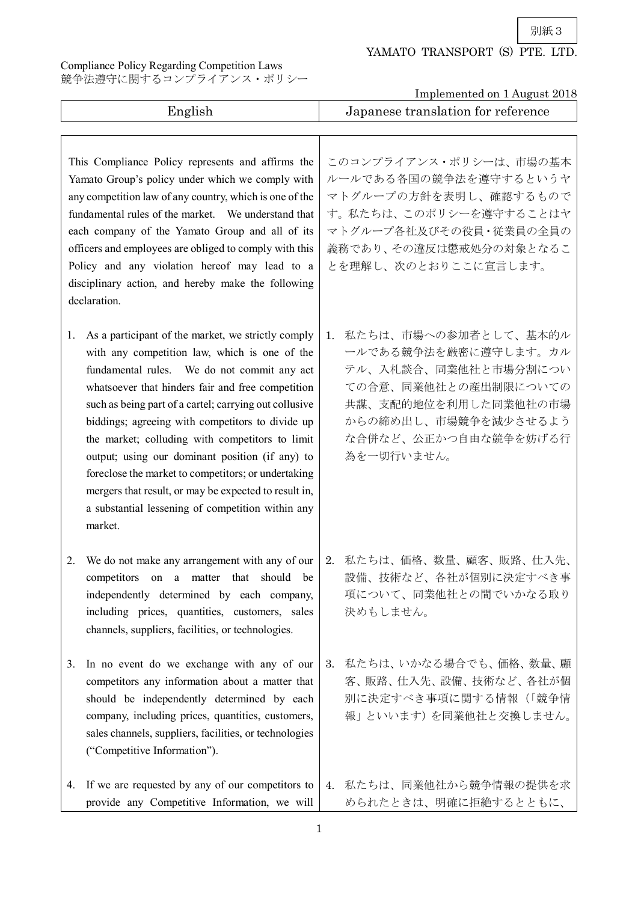別紙3

## YAMATO TRANSPORT (S) PTE. LTD.

Compliance Policy Regarding Competition Laws 競争法遵守に関するコンプライアンス・ポリシー

Implemented on 1 August 2018

| English                                                                                                                                                                                                                                                                                                                                                                                                                                                                                                                                                                                                                           | Implemented on I August 2010<br>Japanese translation for reference                                                                                                                       |  |  |
|-----------------------------------------------------------------------------------------------------------------------------------------------------------------------------------------------------------------------------------------------------------------------------------------------------------------------------------------------------------------------------------------------------------------------------------------------------------------------------------------------------------------------------------------------------------------------------------------------------------------------------------|------------------------------------------------------------------------------------------------------------------------------------------------------------------------------------------|--|--|
| This Compliance Policy represents and affirms the<br>Yamato Group's policy under which we comply with<br>any competition law of any country, which is one of the<br>fundamental rules of the market. We understand that<br>each company of the Yamato Group and all of its<br>officers and employees are obliged to comply with this<br>Policy and any violation hereof may lead to a<br>disciplinary action, and hereby make the following                                                                                                                                                                                       | このコンプライアンス・ポリシーは、市場の基本<br>ルールである各国の競争法を遵守するというヤ<br>マトグループの方針を表明し、確認するもので<br>す。私たちは、このポリシーを遵守することはヤ<br>マトグループ各社及びその役員・従業員の全員の<br>義務であり、その違反は懲戒処分の対象となるこ<br>とを理解し、次のとおりここに宣言します。           |  |  |
| declaration.<br>As a participant of the market, we strictly comply<br>1.<br>with any competition law, which is one of the<br>fundamental rules. We do not commit any act<br>whatsoever that hinders fair and free competition<br>such as being part of a cartel; carrying out collusive<br>biddings; agreeing with competitors to divide up<br>the market; colluding with competitors to limit<br>output; using our dominant position (if any) to<br>foreclose the market to competitors; or undertaking<br>mergers that result, or may be expected to result in,<br>a substantial lessening of competition within any<br>market. | 私たちは、市場への参加者として、基本的ル<br>1.<br>ールである競争法を厳密に遵守します。カル<br>テル、入札談合、同業他社と市場分割につい<br>ての合意、同業他社との産出制限についての<br>共謀、支配的地位を利用した同業他社の市場<br>からの締め出し、市場競争を減少させるよう<br>な合併など、公正かつ自由な競争を妨げる行<br>為を一切行いません。 |  |  |
| We do not make any arrangement with any of our<br>2.<br>competitors on a matter that should be<br>independently determined by each company,<br>including prices, quantities, customers, sales<br>channels, suppliers, facilities, or technologies.                                                                                                                                                                                                                                                                                                                                                                                | 2. 私たちは、価格、数量、顧客、販路、仕入先、<br>設備、技術など、各社が個別に決定すべき事<br>項について、同業他社との間でいかなる取り<br>決めもしません。                                                                                                     |  |  |
| In no event do we exchange with any of our<br>3.<br>competitors any information about a matter that<br>should be independently determined by each<br>company, including prices, quantities, customers,<br>sales channels, suppliers, facilities, or technologies<br>("Competitive Information").                                                                                                                                                                                                                                                                                                                                  | 私たちは、いかなる場合でも、価格、数量、顧<br>3.<br>客、販路、仕入先、設備、技術など、各社が個<br>別に決定すべき事項に関する情報(「競争情<br>報」といいます)を同業他社と交換しません。                                                                                    |  |  |
| If we are requested by any of our competitors to<br>4.<br>provide any Competitive Information, we will                                                                                                                                                                                                                                                                                                                                                                                                                                                                                                                            | 4. 私たちは、同業他社から競争情報の提供を求<br>められたときは、明確に拒絶するとともに、                                                                                                                                          |  |  |